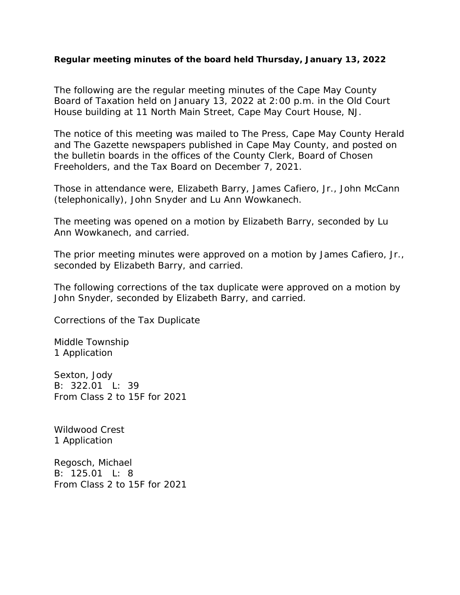## **Regular meeting minutes of the board held Thursday, January 13, 2022**

The following are the regular meeting minutes of the Cape May County Board of Taxation held on January 13, 2022 at 2:00 p.m. in the Old Court House building at 11 North Main Street, Cape May Court House, NJ.

The notice of this meeting was mailed to The Press, Cape May County Herald and The Gazette newspapers published in Cape May County, and posted on the bulletin boards in the offices of the County Clerk, Board of Chosen Freeholders, and the Tax Board on December 7, 2021.

Those in attendance were, Elizabeth Barry, James Cafiero, Jr., John McCann (telephonically), John Snyder and Lu Ann Wowkanech.

The meeting was opened on a motion by Elizabeth Barry, seconded by Lu Ann Wowkanech, and carried.

The prior meeting minutes were approved on a motion by James Cafiero, Jr., seconded by Elizabeth Barry, and carried.

The following corrections of the tax duplicate were approved on a motion by John Snyder, seconded by Elizabeth Barry, and carried.

Corrections of the Tax Duplicate

Middle Township 1 Application

Sexton, Jody B: 322.01 L: 39 From Class 2 to 15F for 2021

Wildwood Crest 1 Application

Regosch, Michael B: 125.01 L: 8 From Class 2 to 15F for 2021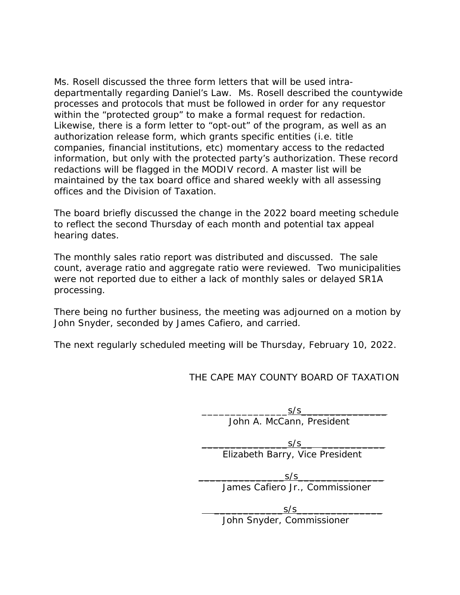Ms. Rosell discussed the three form letters that will be used intradepartmentally regarding Daniel's Law. Ms. Rosell described the countywide processes and protocols that must be followed in order for any requestor within the "protected group" to make a formal request for redaction. Likewise, there is a form letter to "opt-out" of the program, as well as an authorization release form, which grants specific entities (i.e. title companies, financial institutions, etc) momentary access to the redacted information, but only with the protected party's authorization. These record redactions will be flagged in the MODIV record. A master list will be maintained by the tax board office and shared weekly with all assessing offices and the Division of Taxation.

The board briefly discussed the change in the 2022 board meeting schedule to reflect the second Thursday of each month and potential tax appeal hearing dates.

The monthly sales ratio report was distributed and discussed. The sale count, average ratio and aggregate ratio were reviewed. Two municipalities were not reported due to either a lack of monthly sales or delayed SR1A processing.

There being no further business, the meeting was adjourned on a motion by John Snyder, seconded by James Cafiero, and carried.

The next regularly scheduled meeting will be Thursday, February 10, 2022.

THE CAPE MAY COUNTY BOARD OF TAXATION

 $S/S$ John A. McCann, President

 $S/S$ Elizabeth Barry, Vice President

 $S/S$ James Cafiero Jr., Commissioner

 $S/S$ John Snyder, Commissioner